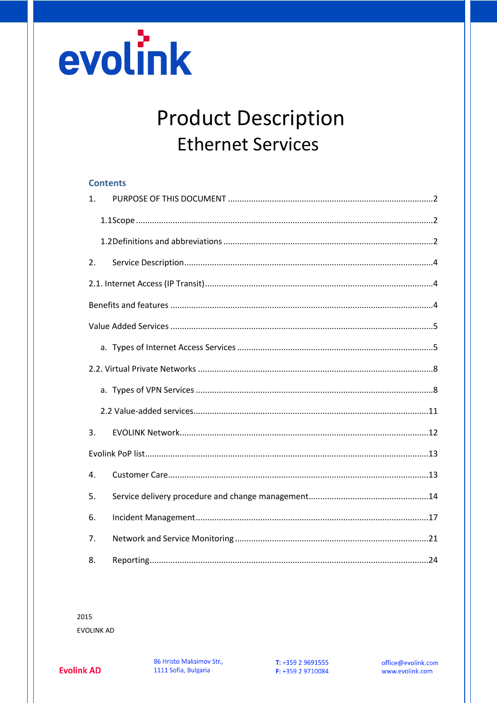

# **Product Description Ethernet Services**

|                | <b>Contents</b> |  |
|----------------|-----------------|--|
| 1 <sub>1</sub> |                 |  |
|                |                 |  |
|                |                 |  |
| 2.             |                 |  |
|                |                 |  |
|                |                 |  |
|                |                 |  |
|                |                 |  |
|                |                 |  |
|                |                 |  |
|                |                 |  |
| 3.             |                 |  |
|                |                 |  |
| 4.             |                 |  |
| 5.             |                 |  |
| 6.             |                 |  |
| 7.             |                 |  |
| 8.             |                 |  |

2015 **EVOLINK AD**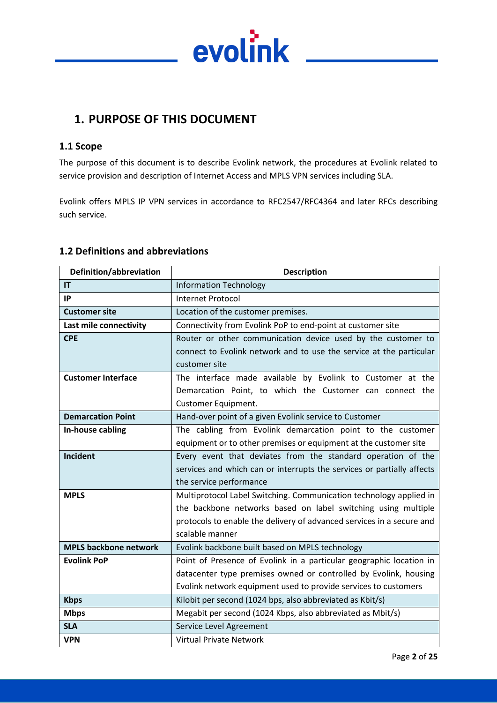

# <span id="page-1-0"></span>**1. PURPOSE OF THIS DOCUMENT**

#### <span id="page-1-1"></span>**1.1 Scope**

The purpose of this document is to describe Evolink network, the procedures at Evolink related to service provision and description of Internet Access and MPLS VPN services including SLA.

Evolink offers MPLS IP VPN services in accordance to RFC2547/RFC4364 and later RFCs describing such service.

#### <span id="page-1-2"></span>**1.2 Definitions and abbreviations**

| Definition/abbreviation      | <b>Description</b>                                                     |
|------------------------------|------------------------------------------------------------------------|
| IT                           | <b>Information Technology</b>                                          |
| IP                           | <b>Internet Protocol</b>                                               |
| <b>Customer site</b>         | Location of the customer premises.                                     |
| Last mile connectivity       | Connectivity from Evolink PoP to end-point at customer site            |
| <b>CPE</b>                   | Router or other communication device used by the customer to           |
|                              | connect to Evolink network and to use the service at the particular    |
|                              | customer site                                                          |
| <b>Customer Interface</b>    | The interface made available by Evolink to Customer at the             |
|                              | Demarcation Point, to which the Customer can connect the               |
|                              | Customer Equipment.                                                    |
| <b>Demarcation Point</b>     | Hand-over point of a given Evolink service to Customer                 |
| In-house cabling             | The cabling from Evolink demarcation point to the customer             |
|                              | equipment or to other premises or equipment at the customer site       |
| <b>Incident</b>              | Every event that deviates from the standard operation of the           |
|                              | services and which can or interrupts the services or partially affects |
|                              | the service performance                                                |
| <b>MPLS</b>                  | Multiprotocol Label Switching. Communication technology applied in     |
|                              | the backbone networks based on label switching using multiple          |
|                              | protocols to enable the delivery of advanced services in a secure and  |
|                              | scalable manner                                                        |
| <b>MPLS backbone network</b> | Evolink backbone built based on MPLS technology                        |
| <b>Evolink PoP</b>           | Point of Presence of Evolink in a particular geographic location in    |
|                              | datacenter type premises owned or controlled by Evolink, housing       |
|                              | Evolink network equipment used to provide services to customers        |
| <b>Kbps</b>                  | Kilobit per second (1024 bps, also abbreviated as Kbit/s)              |
| <b>Mbps</b>                  | Megabit per second (1024 Kbps, also abbreviated as Mbit/s)             |
| <b>SLA</b>                   | Service Level Agreement                                                |
| <b>VPN</b>                   | <b>Virtual Private Network</b>                                         |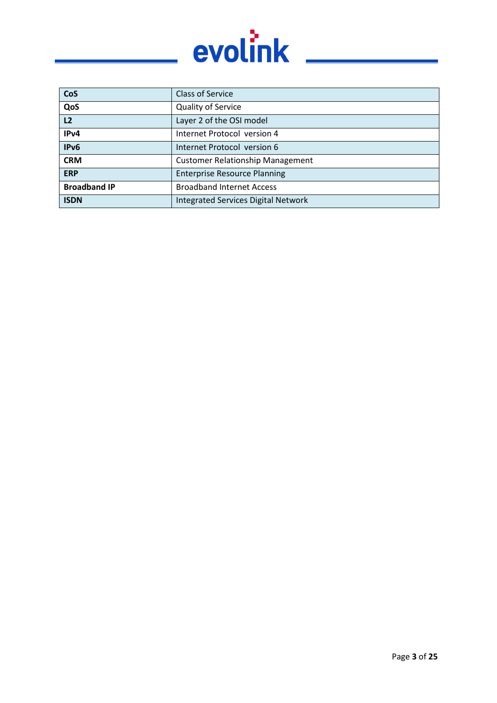

| CoS                 | <b>Class of Service</b>                    |
|---------------------|--------------------------------------------|
| QoS                 | <b>Quality of Service</b>                  |
| L2                  | Layer 2 of the OSI model                   |
| IPv4                | Internet Protocol version 4                |
| IPv6                | Internet Protocol version 6                |
| <b>CRM</b>          | <b>Customer Relationship Management</b>    |
| <b>ERP</b>          | <b>Enterprise Resource Planning</b>        |
| <b>Broadband IP</b> | <b>Broadband Internet Access</b>           |
| <b>ISDN</b>         | <b>Integrated Services Digital Network</b> |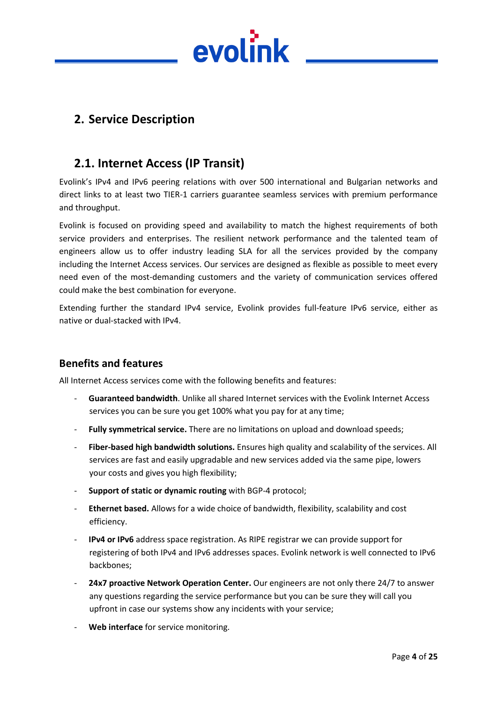

# <span id="page-3-0"></span>**2. Service Description**

# <span id="page-3-1"></span>**2.1. Internet Access (IP Transit)**

Evolink's IPv4 and IPv6 peering relations with over 500 international and Bulgarian networks and direct links to at least two TIER-1 carriers guarantee seamless services with premium performance and throughput.

Evolink is focused on providing speed and availability to match the highest requirements of both service providers and enterprises. The resilient network performance and the talented team of engineers allow us to offer industry leading SLA for all the services provided by the company including the Internet Access services. Our services are designed as flexible as possible to meet every need even of the most-demanding customers and the variety of communication services offered could make the best combination for everyone.

Extending further the standard IPv4 service, Evolink provides full-feature IPv6 service, either as native or dual-stacked with IPv4.

#### <span id="page-3-2"></span>**Benefits and features**

All Internet Access services come with the following benefits and features:

- **Guaranteed bandwidth**. Unlike all shared Internet services with the Evolink Internet Access services you can be sure you get 100% what you pay for at any time;
- **Fully symmetrical service.** There are no limitations on upload and download speeds;
- **Fiber-based high bandwidth solutions.** Ensures high quality and scalability of the services. All services are fast and easily upgradable and new services added via the same pipe, lowers your costs and gives you high flexibility;
- **Support of static or dynamic routing** with BGP-4 protocol;
- **Ethernet based.** Allows for a wide choice of bandwidth, flexibility, scalability and cost efficiency.
- **IPv4 or IPv6** address space registration. As RIPE registrar we can provide support for registering of both IPv4 and IPv6 addresses spaces. Evolink network is well connected to IPv6 backbones;
- 24x7 proactive Network Operation Center. Our engineers are not only there 24/7 to answer any questions regarding the service performance but you can be sure they will call you upfront in case our systems show any incidents with your service;
- Web interface for service monitoring.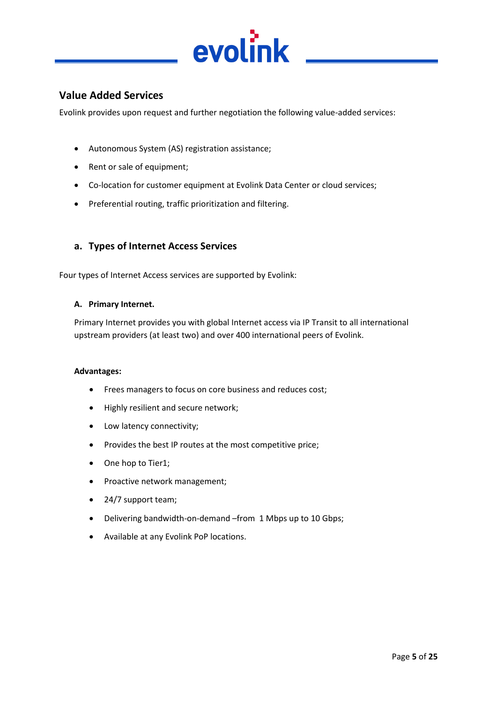

### <span id="page-4-0"></span>**Value Added Services**

Evolink provides upon request and further negotiation the following value-added services:

- Autonomous System (AS) registration assistance;
- Rent or sale of equipment;
- Co-location for customer equipment at Evolink Data Center or cloud services;
- Preferential routing, traffic prioritization and filtering.

#### <span id="page-4-1"></span>**a. Types of Internet Access Services**

Four types of Internet Access services are supported by Evolink:

#### **A. Primary Internet.**

Primary Internet provides you with global Internet access via IP Transit to all international upstream providers (at least two) and over 400 international peers of Evolink.

#### **Advantages:**

- Frees managers to focus on core business and reduces cost;
- Highly resilient and secure network;
- Low latency connectivity;
- Provides the best IP routes at the most competitive price;
- One hop to Tier1;
- Proactive network management;
- 24/7 support team;
- Delivering bandwidth-on-demand –from 1 Mbps up to 10 Gbps;
- Available at any Evolink PoP locations.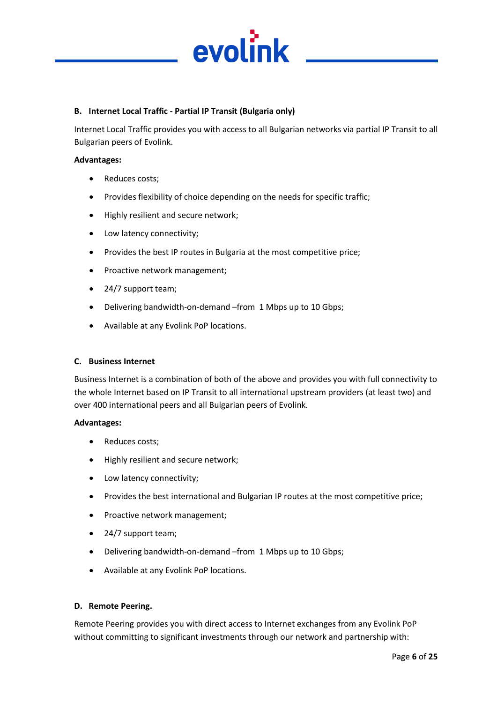

#### **B. Internet Local Traffic - Partial IP Transit (Bulgaria only)**

Internet Local Traffic provides you with access to all Bulgarian networks via partial IP Transit to all Bulgarian peers of Evolink.

#### **Advantages:**

- Reduces costs;
- Provides flexibility of choice depending on the needs for specific traffic;
- Highly resilient and secure network;
- Low latency connectivity;
- Provides the best IP routes in Bulgaria at the most competitive price;
- Proactive network management;
- 24/7 support team;
- Delivering bandwidth-on-demand –from 1 Mbps up to 10 Gbps;
- Available at any Evolink PoP locations.

#### **C. Business Internet**

Business Internet is a combination of both of the above and provides you with full connectivity to the whole Internet based on IP Transit to all international upstream providers (at least two) and over 400 international peers and all Bulgarian peers of Evolink.

#### **Advantages:**

- Reduces costs;
- Highly resilient and secure network;
- Low latency connectivity;
- Provides the best international and Bulgarian IP routes at the most competitive price;
- Proactive network management;
- 24/7 support team;
- Delivering bandwidth-on-demand –from 1 Mbps up to 10 Gbps;
- Available at any Evolink PoP locations.

#### **D. Remote Peering.**

Remote Peering provides you with direct access to Internet exchanges from any Evolink PoP without committing to significant investments through our network and partnership with: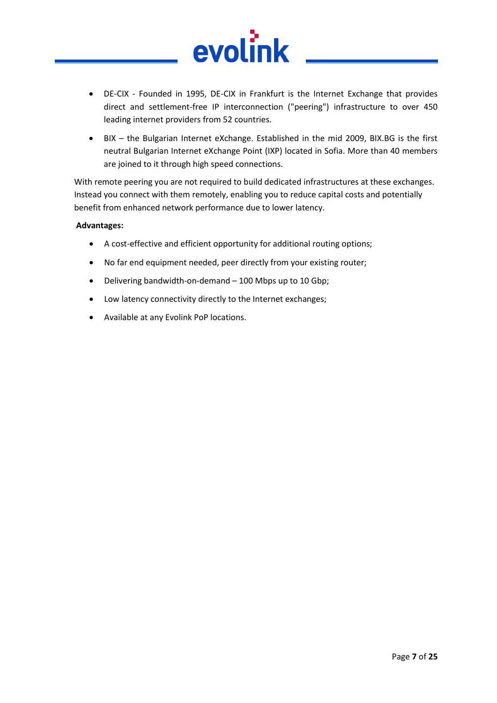

- DE-CIX Founded in 1995, DE-CIX in Frankfurt is the Internet Exchange that provides direct and settlement-free IP interconnection ("peering") infrastructure to over 450 leading internet providers from 52 countries.
- BIX the Bulgarian Internet eXchange. Established in the mid 2009, BIX.BG is the first neutral Bulgarian Internet eXchange Point (IXP) located in Sofia. More than 40 members are joined to it through high speed connections.

With remote peering you are not required to build dedicated infrastructures at these exchanges. Instead you connect with them remotely, enabling you to reduce capital costs and potentially benefit from enhanced network performance due to lower latency.

#### **Advantages:**

- A cost-effective and efficient opportunity for additional routing options;
- No far end equipment needed, peer directly from your existing router;
- Delivering bandwidth-on-demand 100 Mbps up to 10 Gbp;
- Low latency connectivity directly to the Internet exchanges;
- Available at any Evolink PoP locations.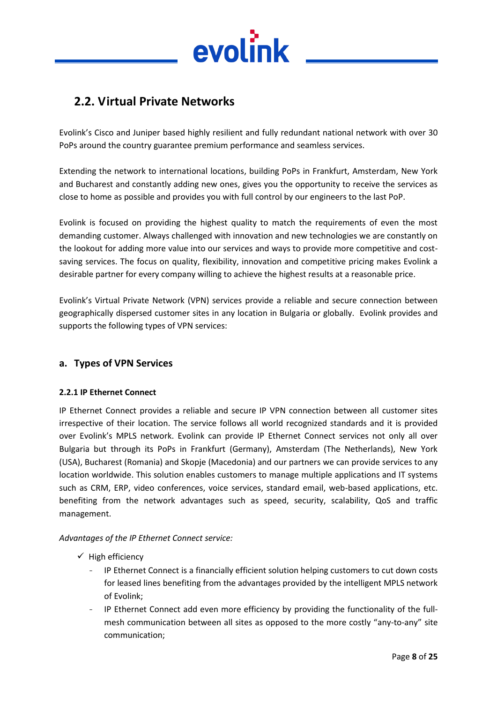

# <span id="page-7-0"></span>**2.2. Virtual Private Networks**

Evolink's Cisco and Juniper based highly resilient and fully redundant national network with over 30 PoPs around the country guarantee premium performance and seamless services.

Extending the network to international locations, building PoPs in Frankfurt, Amsterdam, New York and Bucharest and constantly adding new ones, gives you the opportunity to receive the services as close to home as possible and provides you with full control by our engineers to the last PoP.

Evolink is focused on providing the highest quality to match the requirements of even the most demanding customer. Always challenged with innovation and new technologies we are constantly on the lookout for adding more value into our services and ways to provide more competitive and costsaving services. The focus on quality, flexibility, innovation and competitive pricing makes Evolink a desirable partner for every company willing to achieve the highest results at a reasonable price.

Evolink's Virtual Private Network (VPN) services provide a reliable and secure connection between geographically dispersed customer sites in any location in Bulgaria or globally. Evolink provides and supports the following types of VPN services:

#### <span id="page-7-1"></span>**a. Types of VPN Services**

#### **2.2.1 IP Ethernet Connect**

IP Ethernet Connect provides a reliable and secure IP VPN connection between all customer sites irrespective of their location. The service follows all world recognized standards and it is provided over Evolink's MPLS network. Evolink can provide IP Ethernet Connect services not only all over Bulgaria but through its PoPs in Frankfurt (Germany), Amsterdam (The Netherlands), New York (USA), Bucharest (Romania) and Skopje (Macedonia) and our partners we can provide services to any location worldwide. This solution enables customers to manage multiple applications and IT systems such as CRM, ERP, video conferences, voice services, standard email, web-based applications, etc. benefiting from the network advantages such as speed, security, scalability, QoS and traffic management.

#### *Advantages of the IP Ethernet Connect service:*

- $\checkmark$  High efficiency
	- IP Ethernet Connect is a financially efficient solution helping customers to cut down costs for leased lines benefiting from the advantages provided by the intelligent MPLS network of Evolink;
	- IP Ethernet Connect add even more efficiency by providing the functionality of the fullmesh communication between all sites as opposed to the more costly "any-to-any" site communication;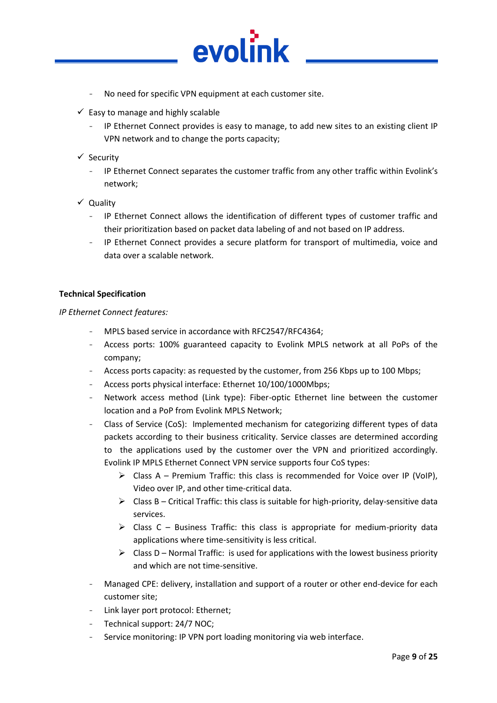

evol

- $\checkmark$  Easy to manage and highly scalable
	- IP Ethernet Connect provides is easy to manage, to add new sites to an existing client IP VPN network and to change the ports capacity;
- $\checkmark$  Security
	- IP Ethernet Connect separates the customer traffic from any other traffic within Evolink's network;
- $\checkmark$  Quality
	- IP Ethernet Connect allows the identification of different types of customer traffic and their prioritization based on packet data labeling of and not based on IP address.
	- IP Ethernet Connect provides a secure platform for transport of multimedia, voice and data over a scalable network.

#### **Technical Specification**

*IP Ethernet Connect features:*

- MPLS based service in accordance with RFC2547/RFC4364;
- Access ports: 100% guaranteed capacity to Evolink MPLS network at all PoPs of the company;
- Access ports capacity: as requested by the customer, from 256 Kbps up to 100 Mbps;
- Access ports physical interface: Ethernet 10/100/1000Mbps;
- Network access method (Link type): Fiber-optic Ethernet line between the customer location and a PoP from Evolink MPLS Network;
- Class of Service (CoS): Implemented mechanism for categorizing different types of data packets according to their business criticality. Service classes are determined according to the applications used by the customer over the VPN and prioritized accordingly. Evolink IP MPLS Ethernet Connect VPN service supports four CoS types:
	- $\triangleright$  Class A Premium Traffic: this class is recommended for Voice over IP (VoIP), Video over IP, and other time-critical data.
	- $\triangleright$  Class B Critical Traffic: this class is suitable for high-priority, delay-sensitive data services.
	- $\triangleright$  Class C Business Traffic: this class is appropriate for medium-priority data applications where time-sensitivity is less critical.
	- $\triangleright$  Class D Normal Traffic: is used for applications with the lowest business priority and which are not time-sensitive.
- Managed CPE: delivery, installation and support of a router or other end-device for each customer site;
- Link layer port protocol: Ethernet;
- Technical support: 24/7 NOC;
- Service monitoring: IP VPN port loading monitoring via web interface.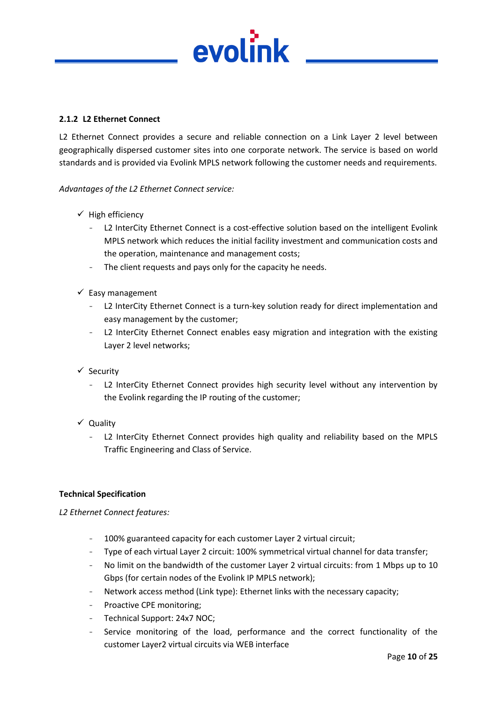

#### **2.1.2 L2 Ethernet Connect**

L2 Ethernet Connect provides a secure and reliable connection on a Link Layer 2 level between geographically dispersed customer sites into one corporate network. The service is based on world standards and is provided via Evolink MPLS network following the customer needs and requirements.

#### *Advantages of the L2 Ethernet Connect service:*

- $\checkmark$  High efficiency
	- L2 InterCity Ethernet Connect is a cost-effective solution based on the intelligent Evolink MPLS network which reduces the initial facility investment and communication costs and the operation, maintenance and management costs;
	- The client requests and pays only for the capacity he needs.
- $\checkmark$  Easy management
	- L2 InterCity Ethernet Connect is a turn-key solution ready for direct implementation and easy management by the customer;
	- L2 InterCity Ethernet Connect enables easy migration and integration with the existing Layer 2 level networks;
- $\checkmark$  Security
	- L2 InterCity Ethernet Connect provides high security level without any intervention by the Evolink regarding the IP routing of the customer;
- $\checkmark$  Quality
	- L2 InterCity Ethernet Connect provides high quality and reliability based on the MPLS Traffic Engineering and Class of Service.

#### **Technical Specification**

*L2 Ethernet Connect features:*

- 100% guaranteed capacity for each customer Layer 2 virtual circuit;
- Type of each virtual Layer 2 circuit: 100% symmetrical virtual channel for data transfer;
- No limit on the bandwidth of the customer Layer 2 virtual circuits: from 1 Mbps up to 10 Gbps (for certain nodes of the Evolink IP MPLS network);
- Network access method (Link type): Ethernet links with the necessary capacity;
- Proactive CPE monitoring;
- Technical Support: 24x7 NOC:
- Service monitoring of the load, performance and the correct functionality of the customer Layer2 virtual circuits via WEB interface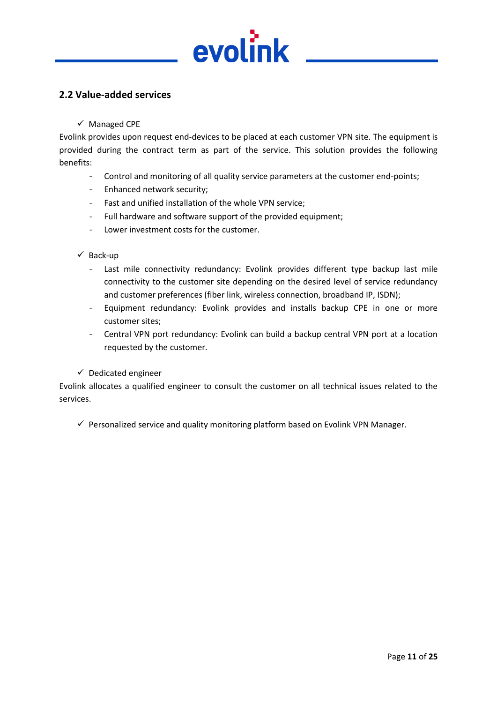

#### <span id="page-10-0"></span>**2.2 Value-added services**

#### $\checkmark$  Managed CPE

Evolink provides upon request end-devices to be placed at each customer VPN site. The equipment is provided during the contract term as part of the service. This solution provides the following benefits:

- Control and monitoring of all quality service parameters at the customer end-points;
- Enhanced network security;
- Fast and unified installation of the whole VPN service;
- Full hardware and software support of the provided equipment;
- Lower investment costs for the customer.

#### $\checkmark$  Back-up

- Last mile connectivity redundancy: Evolink provides different type backup last mile connectivity to the customer site depending on the desired level of service redundancy and customer preferences (fiber link, wireless connection, broadband IP, ISDN);
- Equipment redundancy: Evolink provides and installs backup CPE in one or more customer sites;
- Central VPN port redundancy: Evolink can build a backup central VPN port at a location requested by the customer.

#### $\checkmark$  Dedicated engineer

Evolink allocates a qualified engineer to consult the customer on all technical issues related to the services.

 $\checkmark$  Personalized service and quality monitoring platform based on Evolink VPN Manager.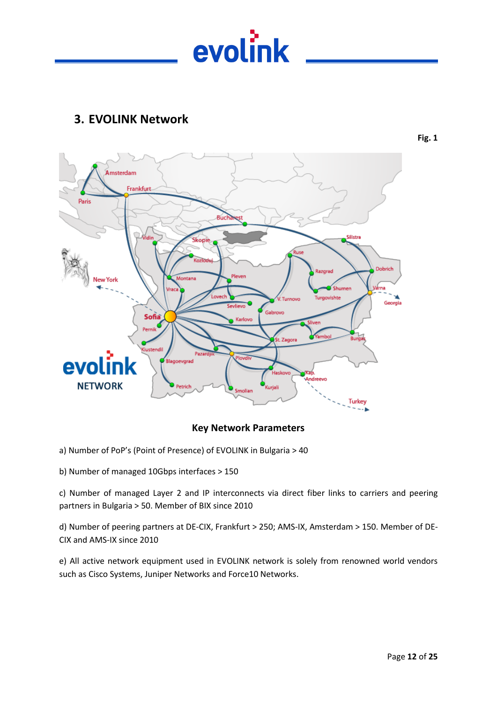

# <span id="page-11-0"></span>**3. EVOLINK Network**

**Fig. 1**



#### **Key Network Parameters**

- а) Number of PoP's (Point of Presence) of EVOLINK in Bulgaria > 40
- b) Number of managed 10Gbps interfaces > 150

c) Number of managed Layer 2 and IP interconnects via direct fiber links to carriers and peering partners in Bulgaria > 50. Member of BIX since 2010

d) Number of peering partners at DE-CIX, Frankfurt > 250; AMS-IX, Amsterdam > 150. Member of DE-CIX and AMS-IX since 2010

e) All active network equipment used in EVOLINK network is solely from renowned world vendors such as Cisco Systems, Juniper Networks and Force10 Networks.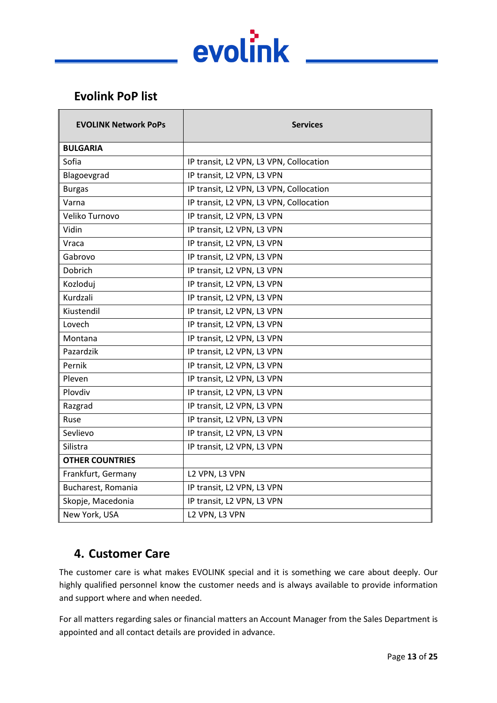

# <span id="page-12-0"></span>**Evolink PoP list**

| <b>EVOLINK Network PoPs</b> | <b>Services</b>                         |
|-----------------------------|-----------------------------------------|
| <b>BULGARIA</b>             |                                         |
| Sofia                       | IP transit, L2 VPN, L3 VPN, Collocation |
| Blagoevgrad                 | IP transit, L2 VPN, L3 VPN              |
| <b>Burgas</b>               | IP transit, L2 VPN, L3 VPN, Collocation |
| Varna                       | IP transit, L2 VPN, L3 VPN, Collocation |
| Veliko Turnovo              | IP transit, L2 VPN, L3 VPN              |
| Vidin                       | IP transit, L2 VPN, L3 VPN              |
| Vraca                       | IP transit, L2 VPN, L3 VPN              |
| Gabrovo                     | IP transit, L2 VPN, L3 VPN              |
| Dobrich                     | IP transit, L2 VPN, L3 VPN              |
| Kozloduj                    | IP transit, L2 VPN, L3 VPN              |
| Kurdzali                    | IP transit, L2 VPN, L3 VPN              |
| Kiustendil                  | IP transit, L2 VPN, L3 VPN              |
| Lovech                      | IP transit, L2 VPN, L3 VPN              |
| Montana                     | IP transit, L2 VPN, L3 VPN              |
| Pazardzik                   | IP transit, L2 VPN, L3 VPN              |
| Pernik                      | IP transit, L2 VPN, L3 VPN              |
| Pleven                      | IP transit, L2 VPN, L3 VPN              |
| Plovdiv                     | IP transit, L2 VPN, L3 VPN              |
| Razgrad                     | IP transit, L2 VPN, L3 VPN              |
| Ruse                        | IP transit, L2 VPN, L3 VPN              |
| Sevlievo                    | IP transit, L2 VPN, L3 VPN              |
| Silistra                    | IP transit, L2 VPN, L3 VPN              |
| <b>OTHER COUNTRIES</b>      |                                         |
| Frankfurt, Germany          | L2 VPN, L3 VPN                          |
| Bucharest, Romania          | IP transit, L2 VPN, L3 VPN              |
| Skopje, Macedonia           | IP transit, L2 VPN, L3 VPN              |
| New York, USA               | L2 VPN, L3 VPN                          |

# <span id="page-12-1"></span>**4. Customer Care**

The customer care is what makes EVOLINK special and it is something we care about deeply. Our highly qualified personnel know the customer needs and is always available to provide information and support where and when needed.

For all matters regarding sales or financial matters an Account Manager from the Sales Department is appointed and all contact details are provided in advance.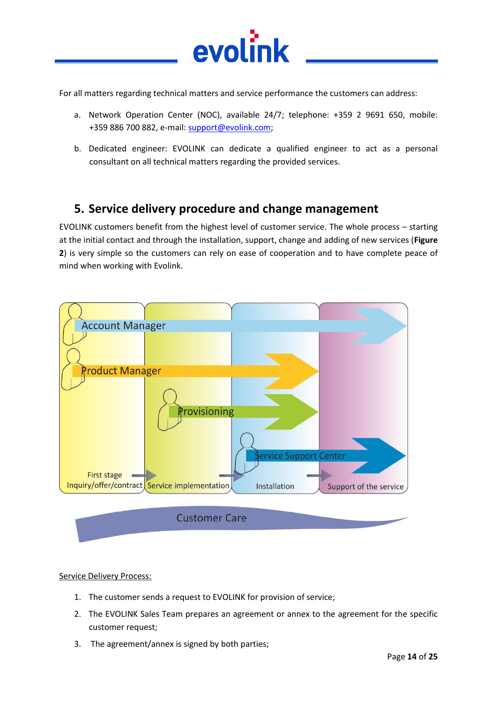

For all matters regarding technical matters and service performance the customers can address:

- a. Network Operation Center (NOC), available 24/7; telephone: +359 2 9691 650, mobile: +359 886 700 882, e-mail: [support@evolink.com;](mailto:support@evolink.com)
- b. Dedicated engineer: EVOLINK can dedicate a qualified engineer to act as a personal consultant on all technical matters regarding the provided services.

# <span id="page-13-0"></span>**5. Service delivery procedure and change management**

EVOLINK customers benefit from the highest level of customer service. The whole process – starting at the initial contact and through the installation, support, change and adding of new services (**Figure 2**) is very simple so the customers can rely on ease of cooperation and to have complete peace of mind when working with Evolink.



#### Service Delivery Process:

- 1. The customer sends a request to EVOLINK for provision of service;
- 2. The EVOLINK Sales Team prepares an agreement or annex to the agreement for the specific customer request;
- 3. The agreement/annex is signed by both parties;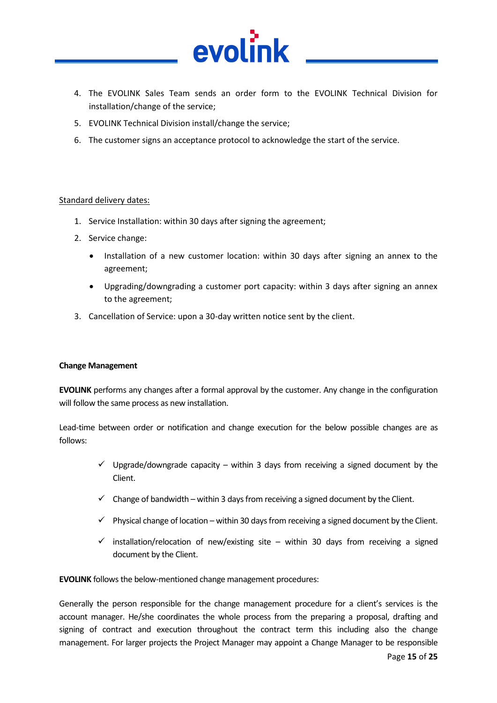

- 4. The EVOLINK Sales Team sends an order form to the EVOLINK Technical Division for installation/change of the service;
- 5. EVOLINK Technical Division install/change the service;
- 6. The customer signs an acceptance protocol to acknowledge the start of the service.

#### Standard delivery dates:

- 1. Service Installation: within 30 days after signing the agreement;
- 2. Service change:
	- Installation of a new customer location: within 30 days after signing an annex to the agreement;
	- Upgrading/downgrading a customer port capacity: within 3 days after signing an annex to the agreement;
- 3. Cancellation of Service: upon a 30-day written notice sent by the client.

#### **Change Management**

**EVOLINK** performs any changes after a formal approval by the customer. Any change in the configuration will follow the same process as new installation.

Lead-time between order or notification and change execution for the below possible changes are as follows:

- $\checkmark$  Upgrade/downgrade capacity within 3 days from receiving a signed document by the Client.
- $\checkmark$  Change of bandwidth within 3 days from receiving a signed document by the Client.
- $\checkmark$  Physical change of location within 30 days from receiving a signed document by the Client.
- $\checkmark$  installation/relocation of new/existing site within 30 days from receiving a signed document by the Client.

**EVOLINK** follows the below-mentioned change management procedures:

Generally the person responsible for the change management procedure for a client's services is the account manager. He/she coordinates the whole process from the preparing a proposal, drafting and signing of contract and execution throughout the contract term this including also the change management. For larger projects the Project Manager may appoint a Change Manager to be responsible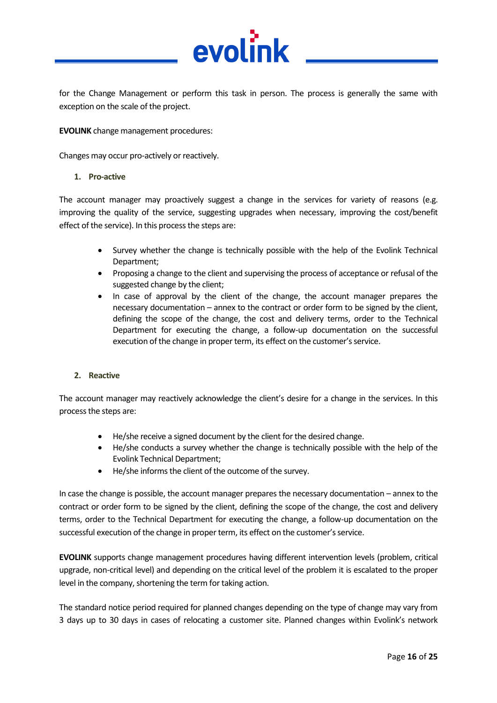

for the Change Management or perform this task in person. The process is generally the same with exception on the scale of the project.

**EVOLINK** change management procedures:

Changes may occur pro-actively or reactively.

#### **1. Pro-active**

The account manager may proactively suggest a change in the services for variety of reasons (e.g. improving the quality of the service, suggesting upgrades when necessary, improving the cost/benefit effect of the service). In this process the steps are:

- Survey whether the change is technically possible with the help of the Evolink Technical Department;
- Proposing a change to the client and supervising the process of acceptance or refusal of the suggested change by the client;
- In case of approval by the client of the change, the account manager prepares the necessary documentation – annex to the contract or order form to be signed by the client, defining the scope of the change, the cost and delivery terms, order to the Technical Department for executing the change, a follow-up documentation on the successful execution of the change in proper term, its effect on the customer's service.

#### **2. Reactive**

The account manager may reactively acknowledge the client's desire for a change in the services. In this process the steps are:

- He/she receive a signed document by the client for the desired change.
- He/she conducts a survey whether the change is technically possible with the help of the Evolink Technical Department;
- He/she informs the client of the outcome of the survey.

In case the change is possible, the account manager prepares the necessary documentation – annex to the contract or order form to be signed by the client, defining the scope of the change, the cost and delivery terms, order to the Technical Department for executing the change, a follow-up documentation on the successful execution of the change in proper term, its effect on the customer's service.

**EVOLINK** supports change management procedures having different intervention levels (problem, critical upgrade, non-critical level) and depending on the critical level of the problem it is escalated to the proper level in the company, shortening the term for taking action.

The standard notice period required for planned changes depending on the type of change may vary from 3 days up to 30 days in cases of relocating a customer site. Planned changes within Evolink's network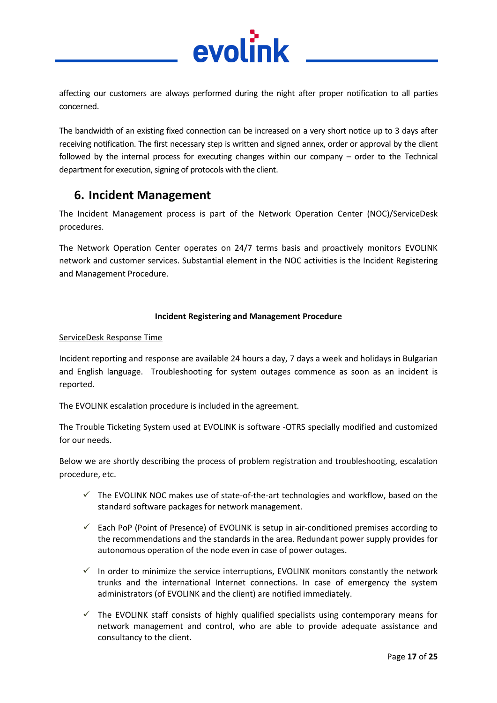

affecting our customers are always performed during the night after proper notification to all parties concerned.

The bandwidth of an existing fixed connection can be increased on a very short notice up to 3 days after receiving notification. The first necessary step is written and signed annex, order or approval by the client followed by the internal process for executing changes within our company – order to the Technical department for execution, signing of protocols with the client.

# <span id="page-16-0"></span>**6. Incident Management**

The Incident Management process is part of the Network Operation Center (NOC)/ServiceDesk procedures.

The Network Operation Center operates on 24/7 terms basis and proactively monitors EVOLINK network and customer services. Substantial element in the NOC activities is the Incident Registering and Management Procedure.

#### **Incident Registering and Management Procedure**

#### ServiceDesk Response Time

Incident reporting and response are available 24 hours a day, 7 days a week and holidays in Bulgarian and English language. Troubleshooting for system outages commence as soon as an incident is reported.

The EVOLINK escalation procedure is included in the agreement.

The Trouble Ticketing System used at EVOLINK is software -OTRS specially modified and customized for our needs.

Below we are shortly describing the process of problem registration and troubleshooting, escalation procedure, etc.

- $\checkmark$  The EVOLINK NOC makes use of state-of-the-art technologies and workflow, based on the standard software packages for network management.
- $\checkmark$  Each PoP (Point of Presence) of EVOLINK is setup in air-conditioned premises according to the recommendations and the standards in the area. Redundant power supply provides for autonomous operation of the node even in case of power outages.
- $\checkmark$  In order to minimize the service interruptions, EVOLINK monitors constantly the network trunks and the international Internet connections. In case of emergency the system administrators (of EVOLINK and the client) are notified immediately.
- $\checkmark$  The EVOLINK staff consists of highly qualified specialists using contemporary means for network management and control, who are able to provide adequate assistance and consultancy to the client.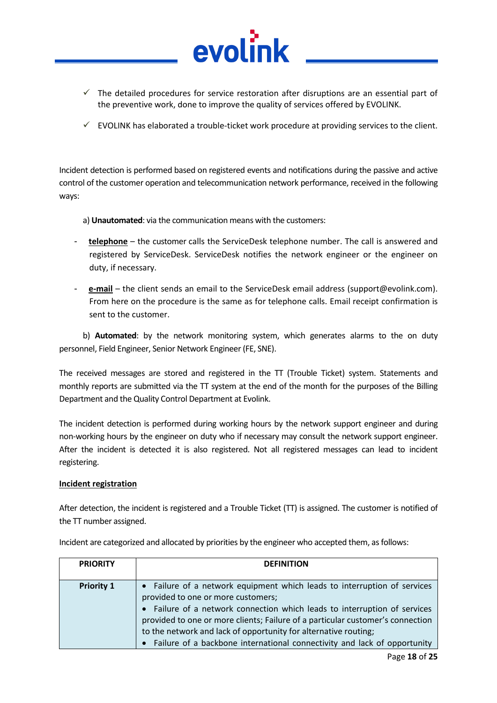

 $\checkmark$  EVOLINK has elaborated a trouble-ticket work procedure at providing services to the client.

Incident detection is performed based on registered events and notifications during the passive and active control of the customer operation and telecommunication network performance, received in the following ways:

a) **Unautomated**: via the communication means with the customers:

evol

- **telephone** the customer calls the ServiceDesk telephone number. The call is answered and registered by ServiceDesk. ServiceDesk notifies the network engineer or the engineer on duty, if necessary.
- **e-mail** the client sends an email to the ServiceDesk email address (support@evolink.com). From here on the procedure is the same as for telephone calls. Email receipt confirmation is sent to the customer.

b) **Automated**: by the network monitoring system, which generates alarms to the on duty personnel, Field Engineer, Senior Network Engineer (FE, SNE).

The received messages are stored and registered in the TT (Trouble Ticket) system. Statements and monthly reports are submitted via the TT system at the end of the month for the purposes of the Billing Department and the Quality Control Department at Evolink.

The incident detection is performed during working hours by the network support engineer and during non-working hours by the engineer on duty who if necessary may consult the network support engineer. After the incident is detected it is also registered. Not all registered messages can lead to incident registering.

#### **Incident registration**

After detection, the incident is registered and a Trouble Ticket (TT) is assigned. The customer is notified of the TT number assigned.

| <b>PRIORITY</b>   | <b>DEFINITION</b>                                                                                                                                                                                                                                                                                                                                                                                                              |
|-------------------|--------------------------------------------------------------------------------------------------------------------------------------------------------------------------------------------------------------------------------------------------------------------------------------------------------------------------------------------------------------------------------------------------------------------------------|
| <b>Priority 1</b> | • Failure of a network equipment which leads to interruption of services<br>provided to one or more customers;<br>• Failure of a network connection which leads to interruption of services<br>provided to one or more clients; Failure of a particular customer's connection<br>to the network and lack of opportunity for alternative routing;<br>• Failure of a backbone international connectivity and lack of opportunity |

Incident are categorized and allocated by priorities by the engineer who accepted them, as follows: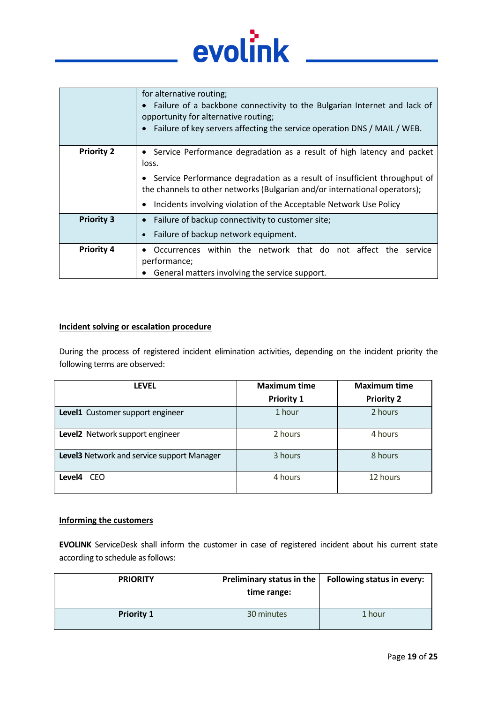

|                   | for alternative routing;<br>Failure of a backbone connectivity to the Bulgarian Internet and lack of<br>opportunity for alternative routing;<br>Failure of key servers affecting the service operation DNS / MAIL / WEB.                                                                                           |
|-------------------|--------------------------------------------------------------------------------------------------------------------------------------------------------------------------------------------------------------------------------------------------------------------------------------------------------------------|
| <b>Priority 2</b> | • Service Performance degradation as a result of high latency and packet<br>loss.<br>Service Performance degradation as a result of insufficient throughput of<br>the channels to other networks (Bulgarian and/or international operators);<br>Incidents involving violation of the Acceptable Network Use Policy |
| <b>Priority 3</b> | Failure of backup connectivity to customer site;<br>Failure of backup network equipment.                                                                                                                                                                                                                           |
| <b>Priority 4</b> | Occurrences within the network that do not affect the<br>service<br>performance;<br>General matters involving the service support.                                                                                                                                                                                 |

#### **Incident solving or escalation procedure**

During the process of registered incident elimination activities, depending on the incident priority the following terms are observed:

| <b>LEVEL</b>                               | <b>Maximum time</b> | <b>Maximum time</b> |
|--------------------------------------------|---------------------|---------------------|
|                                            | <b>Priority 1</b>   | <b>Priority 2</b>   |
| Level1 Customer support engineer           | 1 hour              | 2 hours             |
| Level2 Network support engineer            | 2 hours             | 4 hours             |
| Level3 Network and service support Manager | 3 hours             | 8 hours             |
| <b>CEO</b><br>Level4                       | 4 hours             | 12 hours            |

#### **Informing the customers**

**EVOLINK** ServiceDesk shall inform the customer in case of registered incident about his current state according to schedule as follows:

| <b>PRIORITY</b>   | Preliminary status in the<br>time range: | <b>Following status in every:</b> |
|-------------------|------------------------------------------|-----------------------------------|
| <b>Priority 1</b> | 30 minutes                               | 1 hour                            |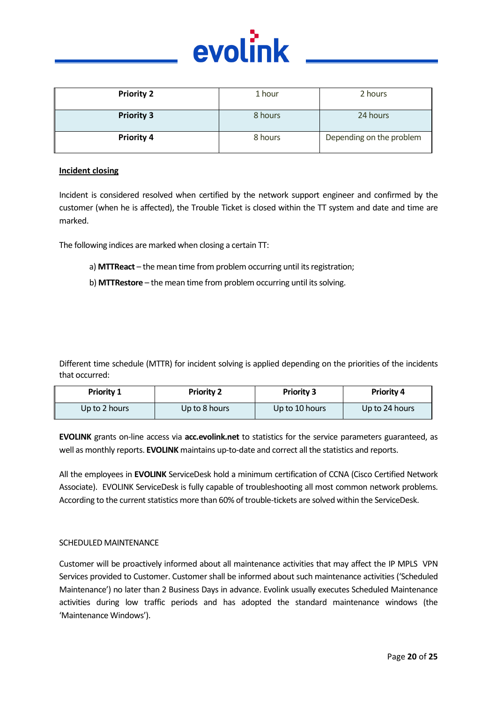

| <b>Priority 2</b> | 1 hour  | 2 hours                  |
|-------------------|---------|--------------------------|
| <b>Priority 3</b> | 8 hours | 24 hours                 |
| <b>Priority 4</b> | 8 hours | Depending on the problem |

#### **Incident closing**

Incident is considered resolved when certified by the network support engineer and confirmed by the customer (when he is affected), the Trouble Ticket is closed within the TT system and date and time are marked.

The following indices are marked when closing a certain TT:

- a) **MTTReact** the mean time from problem occurring until its registration;
- b) **MTTRestore** the mean time from problem occurring until its solving.

Different time schedule (MTTR) for incident solving is applied depending on the priorities of the incidents that occurred:

| <b>Priority 1</b> | <b>Priority 2</b> | <b>Priority 3</b> | <b>Priority 4</b> |
|-------------------|-------------------|-------------------|-------------------|
| Up to 2 hours     | Up to 8 hours     | Up to 10 hours    | Up to 24 hours    |

**EVOLINK** grants on-line access via **acc.evolink.net** to statistics for the service parameters guaranteed, as well as monthly reports. **EVOLINK** maintains up-to-date and correct all the statistics and reports.

All the employees in **EVOLINK** ServiceDesk hold a minimum certification of CCNA (Cisco Certified Network Associate). EVOLINK ServiceDesk is fully capable of troubleshooting all most common network problems. According to the current statistics more than 60% of trouble-tickets are solved within the ServiceDesk.

#### SCHEDULED MAINTENANCE

Customer will be proactively informed about all maintenance activities that may affect the IP MPLS VPN Services provided to Customer. Customer shall be informed about such maintenance activities ('Scheduled Maintenance') no later than 2 Business Days in advance. Evolink usually executes Scheduled Maintenance activities during low traffic periods and has adopted the standard maintenance windows (the 'Maintenance Windows').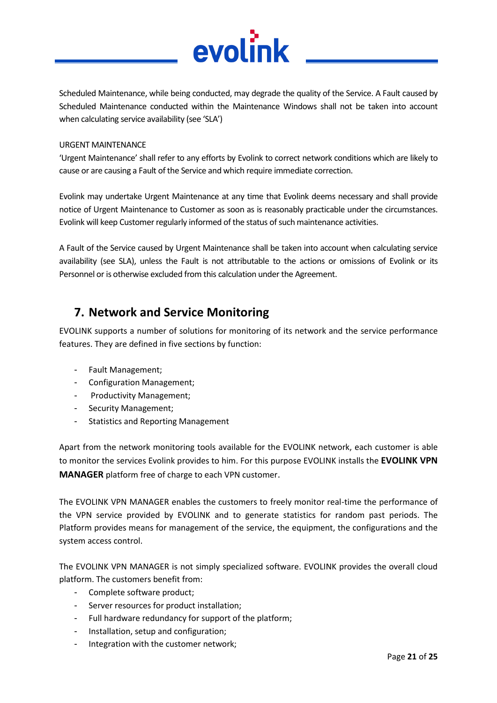

Scheduled Maintenance, while being conducted, may degrade the quality of the Service. A Fault caused by Scheduled Maintenance conducted within the Maintenance Windows shall not be taken into account when calculating service availability (see 'SLA')

#### URGENT MAINTENANCE

'Urgent Maintenance' shall refer to any efforts by Evolink to correct network conditions which are likely to cause or are causing a Fault of the Service and which require immediate correction.

Evolink may undertake Urgent Maintenance at any time that Evolink deems necessary and shall provide notice of Urgent Maintenance to Customer as soon as is reasonably practicable under the circumstances. Evolink will keep Customer regularly informed of the status of such maintenance activities.

A Fault of the Service caused by Urgent Maintenance shall be taken into account when calculating service availability (see SLA), unless the Fault is not attributable to the actions or omissions of Evolink or its Personnel or is otherwise excluded from this calculation under the Agreement.

# <span id="page-20-0"></span>**7. Network and Service Monitoring**

EVOLINK supports a number of solutions for monitoring of its network and the service performance features. They are defined in five sections by function:

- Fault Management;
- Configuration Management;
- Productivity Management;
- Security Management;
- Statistics and Reporting Management

Apart from the network monitoring tools available for the EVOLINK network, each customer is able to monitor the services Evolink provides to him. For this purpose EVOLINK installs the **EVOLINK VPN MANAGER** platform free of charge to each VPN customer.

The EVOLINK VPN MANAGER enables the customers to freely monitor real-time the performance of the VPN service provided by EVOLINK and to generate statistics for random past periods. The Platform provides means for management of the service, the equipment, the configurations and the system access control.

The EVOLINK VPN MANAGER is not simply specialized software. EVOLINK provides the overall cloud platform. The customers benefit from:

- Complete software product;
- Server resources for product installation;
- Full hardware redundancy for support of the platform;
- Installation, setup and configuration;
- Integration with the customer network;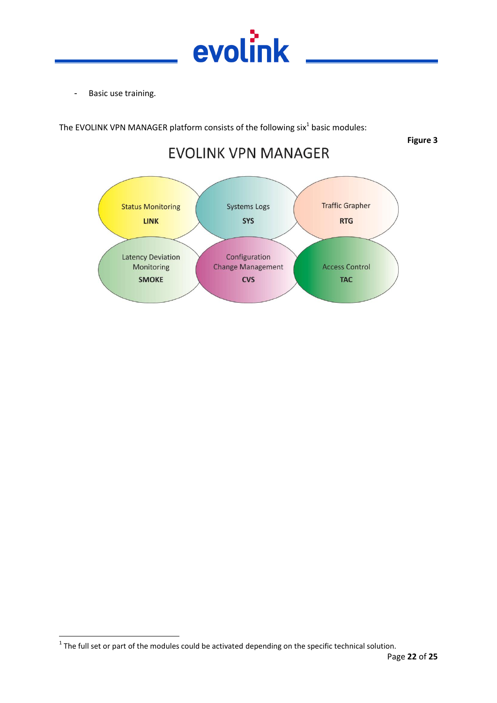

- Basic use training.

The EVOLINK VPN MANAGER platform consists of the following six<sup>1</sup> basic modules:

**Figure 3**

# **EVOLINK VPN MANAGER**



 $\overline{\phantom{a}}$  $1$  The full set or part of the modules could be activated depending on the specific technical solution.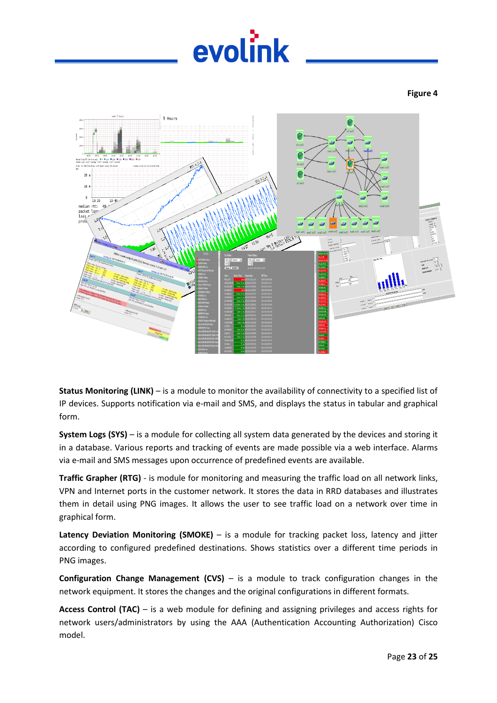# evolink

#### **Figure 4**



**Status Monitoring (LINK)** – is a module to monitor the availability of connectivity to a specified list of IP devices. Supports notification via e-mail and SMS, and displays the status in tabular and graphical form.

**System Logs (SYS)** – is a module for collecting all system data generated by the devices and storing it in a database. Various reports and tracking of events are made possible via a web interface. Alarms via e-mail and SMS messages upon occurrence of predefined events are available.

**Traffic Grapher (RTG)** - is module for monitoring and measuring the traffic load on all network links, VPN and Internet ports in the customer network. It stores the data in RRD databases and illustrates them in detail using PNG images. It allows the user to see traffic load on a network over time in graphical form.

**Latency Deviation Monitoring (SMOKE)** – is a module for tracking packet loss, latency and jitter according to configured predefined destinations. Shows statistics over a different time periods in PNG images.

**Configuration Change Management (CVS)** – is a module to track configuration changes in the network equipment. It stores the changes and the original configurations in different formats.

**Access Control (TAC)** – is a web module for defining and assigning privileges and access rights for network users/administrators by using the AAA (Authentication Accounting Authorization) Cisco model.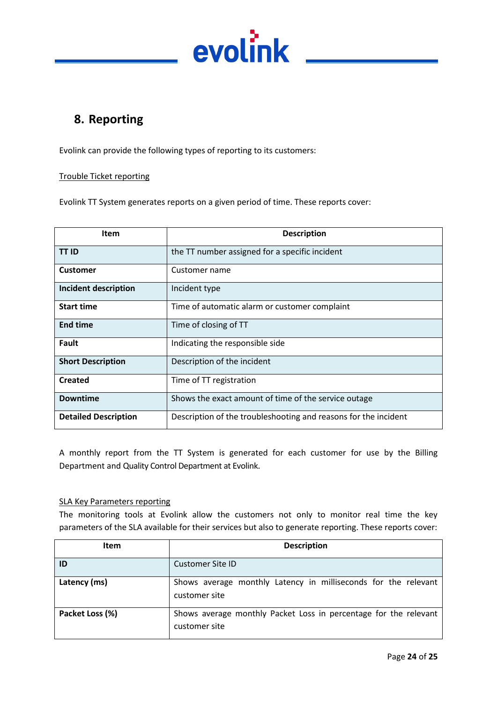

# <span id="page-23-0"></span>**8. Reporting**

Evolink can provide the following types of reporting to its customers:

#### Trouble Ticket reporting

Evolink TT System generates reports on a given period of time. These reports cover:

| Item                        | <b>Description</b>                                              |
|-----------------------------|-----------------------------------------------------------------|
| <b>TT ID</b>                | the TT number assigned for a specific incident                  |
| <b>Customer</b>             | Customer name                                                   |
| Incident description        | Incident type                                                   |
| <b>Start time</b>           | Time of automatic alarm or customer complaint                   |
| <b>End time</b>             | Time of closing of TT                                           |
| Fault                       | Indicating the responsible side                                 |
| <b>Short Description</b>    | Description of the incident                                     |
| <b>Created</b>              | Time of TT registration                                         |
| <b>Downtime</b>             | Shows the exact amount of time of the service outage            |
| <b>Detailed Description</b> | Description of the troubleshooting and reasons for the incident |

A monthly report from the TT System is generated for each customer for use by the Billing Department and Quality Control Department at Evolink.

#### SLA Key Parameters reporting

The monitoring tools at Evolink allow the customers not only to monitor real time the key parameters of the SLA available for their services but also to generate reporting. These reports cover:

| <b>Item</b>     | <b>Description</b>                                                                |
|-----------------|-----------------------------------------------------------------------------------|
| ID              | Customer Site ID                                                                  |
| Latency (ms)    | Shows average monthly Latency in milliseconds for the relevant<br>customer site   |
| Packet Loss (%) | Shows average monthly Packet Loss in percentage for the relevant<br>customer site |